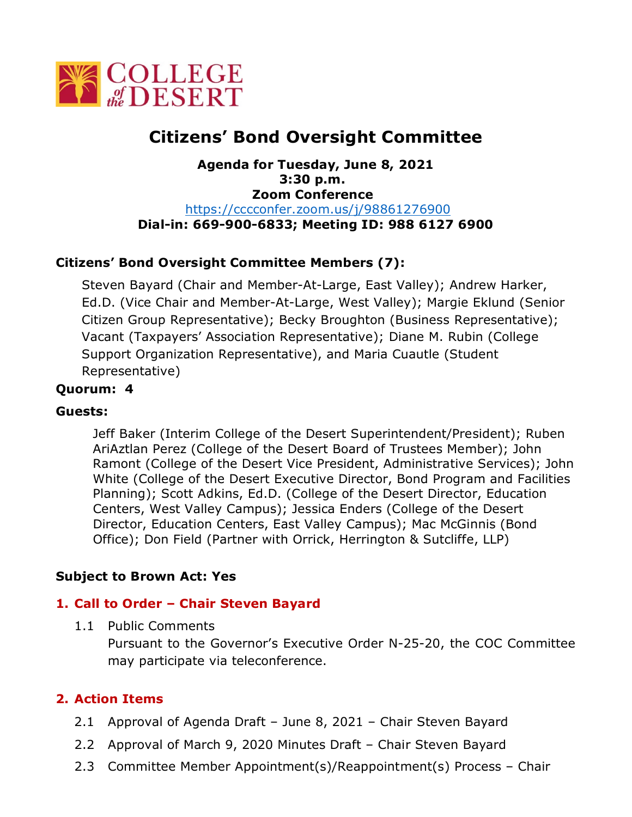

# **Citizens' Bond Oversight Committee**

#### **Agenda for Tuesday, June 8, 2021 3:30 p.m. Zoom Conference**  [https://cccconfer.zoom.us/j/98861276900](https://cccconfer.zoom.us/j/93308159905) **Dial-in: 669-900-6833; Meeting ID: 988 6127 6900**

# **Citizens' Bond Oversight Committee Members (7):**

Steven Bayard (Chair and Member-At-Large, East Valley); Andrew Harker, Ed.D. (Vice Chair and Member-At-Large, West Valley); Margie Eklund (Senior Citizen Group Representative); Becky Broughton (Business Representative); Vacant (Taxpayers' Association Representative); Diane M. Rubin (College Support Organization Representative), and Maria Cuautle (Student Representative)

#### **Quorum: 4**

#### **Guests:**

Jeff Baker (Interim College of the Desert Superintendent/President); Ruben AriAztlan Perez (College of the Desert Board of Trustees Member); John Ramont (College of the Desert Vice President, Administrative Services); John White (College of the Desert Executive Director, Bond Program and Facilities Planning); Scott Adkins, Ed.D. (College of the Desert Director, Education Centers, West Valley Campus); Jessica Enders (College of the Desert Director, Education Centers, East Valley Campus); Mac McGinnis (Bond Office); Don Field (Partner with Orrick, Herrington & Sutcliffe, LLP)

# **Subject to Brown Act: Yes**

# **1. Call to Order – Chair Steven Bayard**

1.1 Public Comments

Pursuant to the Governor's Executive Order N-25-20, the COC Committee may participate via teleconference.

# **2. Action Items**

- 2.1 Approval of Agenda Draft June 8, 2021 Chair Steven Bayard
- 2.2 Approval of March 9, 2020 Minutes Draft Chair Steven Bayard
- 2.3 Committee Member Appointment(s)/Reappointment(s) Process Chair